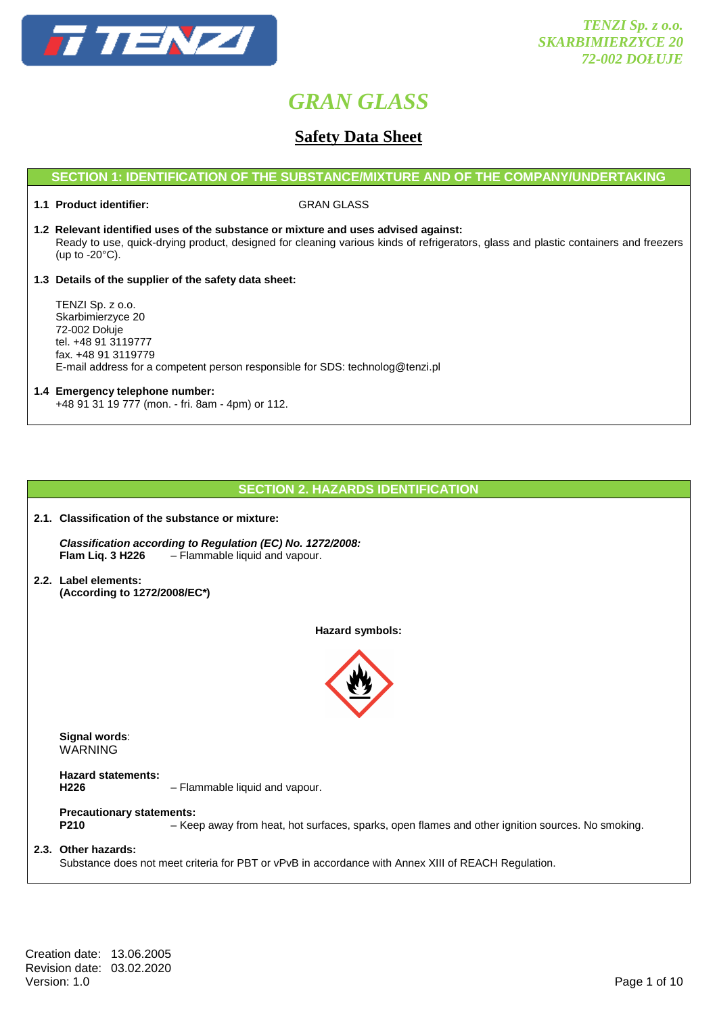

### **Safety Data Sheet**

#### **SECTION 1: IDENTIFICATION OF THE SUBSTANCE/MIXTURE AND OF THE COMPANY/UNDERTAKING**

#### **1.1 Product identifier:** GRAN GLASS

**1.2 Relevant identified uses of the substance or mixture and uses advised against:** Ready to use, quick-drying product, designed for cleaning various kinds of refrigerators, glass and plastic containers and freezers (up to -20°C).

#### **1.3 Details of the supplier of the safety data sheet:**

 TENZI Sp. z o.o. Skarbimierzyce 20 72-002 Dołuje tel. +48 91 3119777 fax. +48 91 3119779 E-mail address for a competent person responsible for SDS: technolog@tenzi.pl

#### **1.4 Emergency telephone number:**

+48 91 31 19 777 (mon. - fri. 8am - 4pm) or 112.

**2.1. Classification of the substance or mixture:** 

#### **SECTION 2. HAZARDS IDENTIFICATION**

 **Classification according to Regulation (EC) No. 1272/2008: Flam Liq. 3 H226** – Flammable liquid and vapour.

**2.2. Label elements: (According to 1272/2008/EC\*)** 

**Hazard symbols:** 



 **Signal words**: WARNING

 **Hazard statements:** 

**H226** – Flammable liquid and vapour.

### **Precautionary statements:**

 **P210** – Keep away from heat, hot surfaces, sparks, open flames and other ignition sources. No smoking.

#### **2.3. Other hazards:**

Substance does not meet criteria for PBT or vPvB in accordance with Annex XIII of REACH Regulation.

Creation date: 13.06.2005 Revision date: 03.02.2020<br>Version: 1.0 Version: 1.0 Page 1 of 10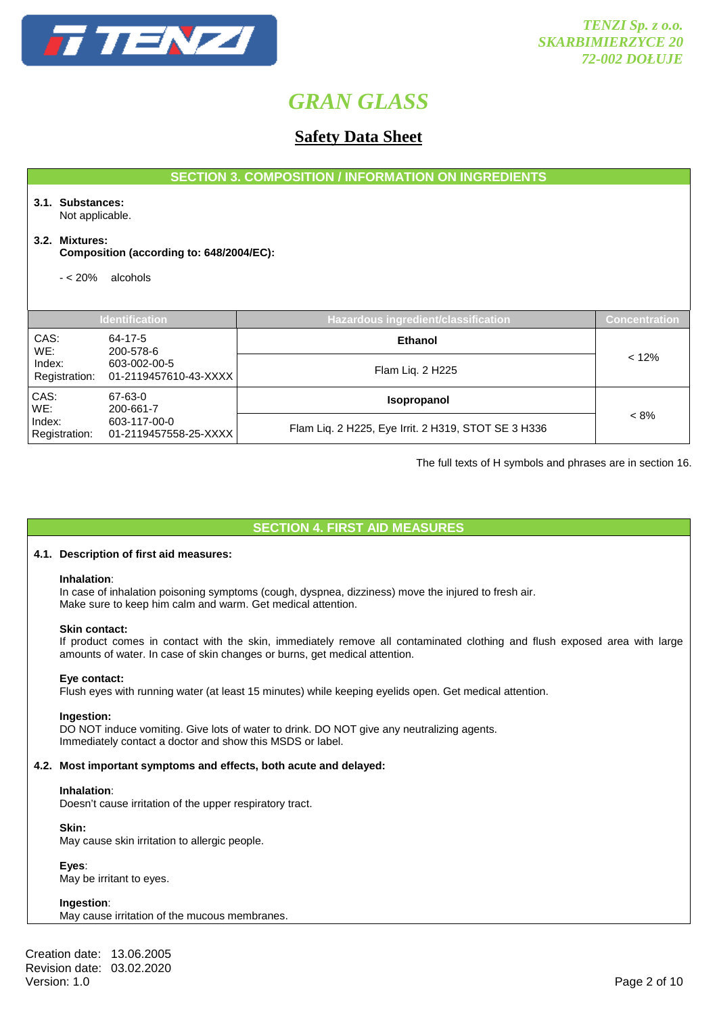

### **Safety Data Sheet**

**SECTION 3. COMPOSITION / INFORMATION ON INGREDIENTS**

#### **3.1. Substances:**  Not applicable.

**3.2. Mixtures:** 

 **Composition (according to: 648/2004/EC):** 

- < 20% alcohols

|                                                                  | <b>Identification</b>                 | Hazardous ingredient/classification                 | Concentration |
|------------------------------------------------------------------|---------------------------------------|-----------------------------------------------------|---------------|
|                                                                  |                                       |                                                     |               |
| CAS:<br>WE:                                                      | 64-17-5<br>200-578-6                  | <b>Ethanol</b>                                      |               |
| Index:<br>603-002-00-5<br>Registration:<br>01-2119457610-43-XXXX |                                       | Flam Liq. 2 H225                                    | < 12%         |
| CAS:<br>WE:                                                      | 67-63-0<br>200-661-7                  | <b>Isopropanol</b>                                  |               |
| Index:<br>Registration:                                          | 603-117-00-0<br>01-2119457558-25-XXXX | Flam Liq. 2 H225, Eye Irrit. 2 H319, STOT SE 3 H336 | $< 8\%$       |

The full texts of H symbols and phrases are in section 16.

**SECTION 4. FIRST AID MEASURES** 

#### **4.1. Description of first aid measures:**

#### **Inhalation**:

In case of inhalation poisoning symptoms (cough, dyspnea, dizziness) move the injured to fresh air. Make sure to keep him calm and warm. Get medical attention.

#### **Skin contact:**

If product comes in contact with the skin, immediately remove all contaminated clothing and flush exposed area with large amounts of water. In case of skin changes or burns, get medical attention.

#### **Eye contact:**

Flush eyes with running water (at least 15 minutes) while keeping eyelids open. Get medical attention.

#### **Ingestion:**

DO NOT induce vomiting. Give lots of water to drink. DO NOT give any neutralizing agents. Immediately contact a doctor and show this MSDS or label.

#### **4.2. Most important symptoms and effects, both acute and delayed:**

#### **Inhalation**:

Doesn't cause irritation of the upper respiratory tract.

 **Skin:** 

May cause skin irritation to allergic people.

 **Eyes**: May be irritant to eyes.

 **Ingestion**: May cause irritation of the mucous membranes.

Creation date: 13.06.2005 Revision date: 03.02.2020 Version: 1.0 Page 2 of 10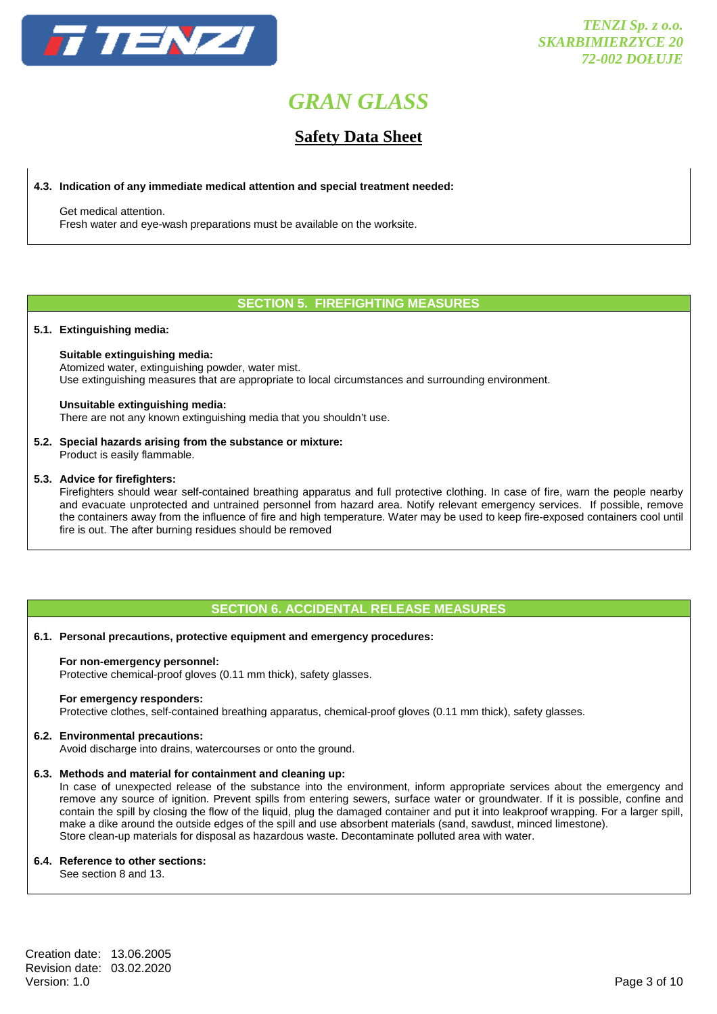

### **Safety Data Sheet**

#### **4.3. Indication of any immediate medical attention and special treatment needed:**

 Get medical attention. Fresh water and eye-wash preparations must be available on the worksite.

#### **SECTION 5. FIREFIGHTING MEASURES**

#### **5.1. Extinguishing media:**

#### **Suitable extinguishing media:**

 Atomized water, extinguishing powder, water mist. Use extinguishing measures that are appropriate to local circumstances and surrounding environment.

#### **Unsuitable extinguishing media:**

There are not any known extinguishing media that you shouldn't use.

#### **5.2. Special hazards arising from the substance or mixture:**

Product is easily flammable.

#### **5.3. Advice for firefighters:**

 Firefighters should wear self-contained breathing apparatus and full protective clothing. In case of fire, warn the people nearby and evacuate unprotected and untrained personnel from hazard area. Notify relevant emergency services. If possible, remove the containers away from the influence of fire and high temperature. Water may be used to keep fire-exposed containers cool until fire is out. The after burning residues should be removed

#### **SECTION 6. ACCIDENTAL RELEASE MEASURES**

#### **6.1. Personal precautions, protective equipment and emergency procedures:**

#### **For non-emergency personnel:**

Protective chemical-proof gloves (0.11 mm thick), safety glasses.

#### **For emergency responders:**

Protective clothes, self-contained breathing apparatus, chemical-proof gloves (0.11 mm thick), safety glasses.

#### **6.2. Environmental precautions:**

Avoid discharge into drains, watercourses or onto the ground.

#### **6.3. Methods and material for containment and cleaning up:**

 In case of unexpected release of the substance into the environment, inform appropriate services about the emergency and remove any source of ignition. Prevent spills from entering sewers, surface water or groundwater. If it is possible, confine and contain the spill by closing the flow of the liquid, plug the damaged container and put it into leakproof wrapping. For a larger spill, make a dike around the outside edges of the spill and use absorbent materials (sand, sawdust, minced limestone). Store clean-up materials for disposal as hazardous waste. Decontaminate polluted area with water.

#### **6.4. Reference to other sections:**

See section 8 and 13.

Creation date: 13.06.2005 Revision date: 03.02.2020 Version: 1.0 Page 3 of 10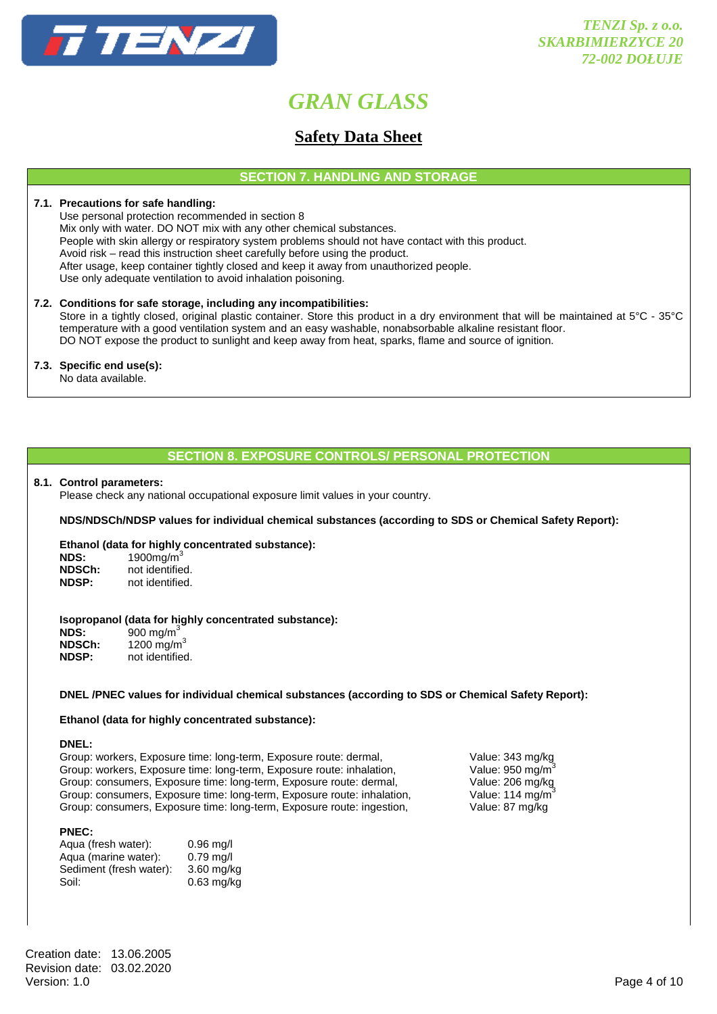

### **Safety Data Sheet**

**SECTION 7. HANDLING AND STORAGE** 

#### **7.1. Precautions for safe handling:**

 Use personal protection recommended in section 8 Mix only with water. DO NOT mix with any other chemical substances. People with skin allergy or respiratory system problems should not have contact with this product. Avoid risk – read this instruction sheet carefully before using the product. After usage, keep container tightly closed and keep it away from unauthorized people. Use only adequate ventilation to avoid inhalation poisoning.

#### **7.2. Conditions for safe storage, including any incompatibilities:**

Store in a tightly closed, original plastic container. Store this product in a dry environment that will be maintained at 5°C - 35°C temperature with a good ventilation system and an easy washable, nonabsorbable alkaline resistant floor. DO NOT expose the product to sunlight and keep away from heat, sparks, flame and source of ignition.

#### **7.3. Specific end use(s):**

No data available.

### **SECTION 8. EXPOSURE CONTROLS/ PERSONAL PROTECTION**

#### **8.1. Control parameters:**

Please check any national occupational exposure limit values in your country.

#### **NDS/NDSCh/NDSP values for individual chemical substances (according to SDS or Chemical Safety Report):**

#### **Ethanol (data for highly concentrated substance):**

| NDS:         | 1900 $mg/m3$    |
|--------------|-----------------|
| NDSCh:       | not identified. |
| <b>NDSP:</b> | not identified. |

#### **Isopropanol (data for highly concentrated substance):**

| NDS:         | 900 mg/m <sup>3</sup>  |
|--------------|------------------------|
| NDSCh:       | 1200 mg/m <sup>3</sup> |
| <b>NDSP:</b> | not identified.        |

#### **DNEL /PNEC values for individual chemical substances (according to SDS or Chemical Safety Report):**

#### **Ethanol (data for highly concentrated substance):**

**DNEL:** 

Group: workers, Exposure time: long-term, Exposure route: dermal, Value: 343 mg/kg Group: workers, Exposure time: long-term, Exposure route: inhalation, Value: 950 mg/m3 Group: consumers, Exposure time: long-term, Exposure route: dermal, Value: 206 mg/kg Group: consumers, Exposure time: long-term, Exposure route: inhalation, Value: 114 mg/m<sup>3</sup> Group: consumers, Exposure time: long-term, Exposure route: ingestion, Value: 87 mg/kg

#### **PNEC:**

| Agua (fresh water):     | $0.96$ mg/l  |
|-------------------------|--------------|
| Aqua (marine water):    | $0.79$ mg/l  |
| Sediment (fresh water): | $3.60$ mg/kg |
| Soil:                   | $0.63$ mg/kg |

Creation date: 13.06.2005 Revision date: 03.02.2020 Version: 1.0 Page 4 of 10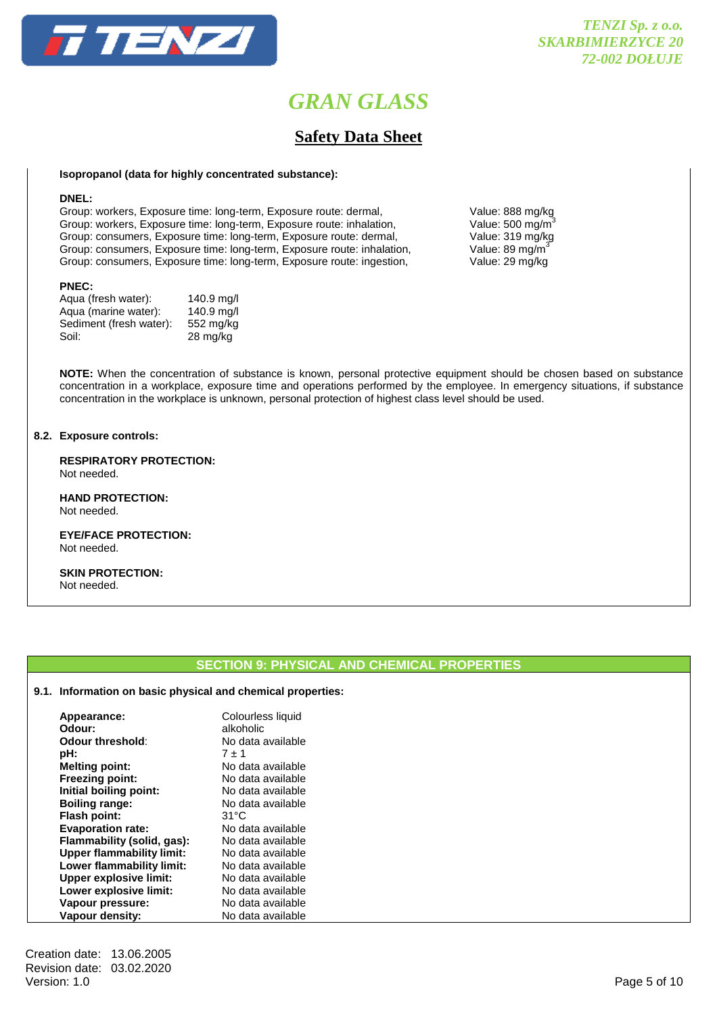

### **Safety Data Sheet**

#### **Isopropanol (data for highly concentrated substance):**

#### **DNEL:**

Group: workers, Exposure time: long-term, Exposure route: dermal, Value: 888 mg/kg<br>Group: workers, Exposure time: long-term, Exposure route: inhalation, Value: 500 mg/m<sup>3</sup> Group: workers, Exposure time: long-term, Exposure route: inhalation, Value: 500 mg/m<sup>3</sup><br>Group: consumers, Exposure time: long-term, Exposure route: dermal, Value: 319 mg/kg Group: consumers, Exposure time: long-term, Exposure route: dermal, Group: consumers, Exposure time: long-term, Exposure route: inhalation, Value: 89 mg/m<sup>3</sup> Group: consumers, Exposure time: long-term, Exposure route: ingestion, Value: 29 mg/kg

#### **PNEC:**

| Agua (fresh water):     | 140.9 mg/l         |
|-------------------------|--------------------|
| Aqua (marine water):    | 140.9 mg/l         |
| Sediment (fresh water): | 552 mg/kg          |
| Soil:                   | $28 \text{ mg/kg}$ |
|                         |                    |

**NOTE:** When the concentration of substance is known, personal protective equipment should be chosen based on substance concentration in a workplace, exposure time and operations performed by the employee. In emergency situations, if substance concentration in the workplace is unknown, personal protection of highest class level should be used.

#### **8.2. Exposure controls:**

 **RESPIRATORY PROTECTION:**  Not needed.

 **HAND PROTECTION:**  Not needed.

 **EYE/FACE PROTECTION:**  Not needed.

 **SKIN PROTECTION:**  Not needed.

#### **SECTION 9: PHYSICAL AND CHEMICAL PROPERTIES**

#### **9.1. Information on basic physical and chemical properties:**

| Appearance:<br>Odour:            | Colourless liquid<br>alkoholic |
|----------------------------------|--------------------------------|
| Odour threshold:                 | No data available              |
| pH:                              | $7 + 1$                        |
| <b>Melting point:</b>            | No data available              |
| <b>Freezing point:</b>           | No data available              |
| Initial boiling point:           | No data available              |
| <b>Boiling range:</b>            | No data available              |
| <b>Flash point:</b>              | 31°C                           |
| <b>Evaporation rate:</b>         | No data available              |
| Flammability (solid, gas):       | No data available              |
| <b>Upper flammability limit:</b> | No data available              |
| Lower flammability limit:        | No data available              |
| <b>Upper explosive limit:</b>    | No data available              |
| Lower explosive limit:           | No data available              |
| Vapour pressure:                 | No data available              |
| Vapour density:                  | No data available              |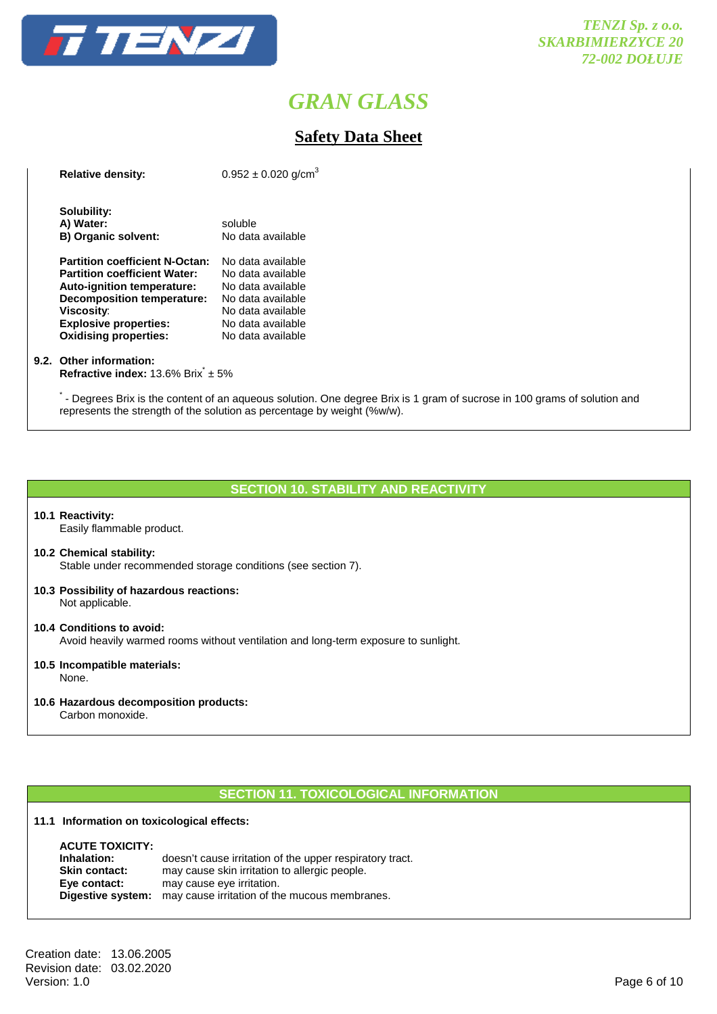

### **Safety Data Sheet**

| <b>Relative density:</b>                                                                                                                                                                                                      | $0.952 \pm 0.020$ g/cm <sup>3</sup>                                                                                                             |
|-------------------------------------------------------------------------------------------------------------------------------------------------------------------------------------------------------------------------------|-------------------------------------------------------------------------------------------------------------------------------------------------|
| Solubility:<br>A) Water:<br><b>B) Organic solvent:</b>                                                                                                                                                                        | soluble<br>No data available                                                                                                                    |
| <b>Partition coefficient N-Octan:</b><br><b>Partition coefficient Water:</b><br><b>Auto-ignition temperature:</b><br>Decomposition temperature:<br>Viscosity:<br><b>Explosive properties:</b><br><b>Oxidising properties:</b> | No data available<br>No data available<br>No data available<br>No data available<br>No data available<br>No data available<br>No data available |

#### **9.2. Other information:**

**Refractive index:** 13.6% Brix<sup>\*</sup> ± 5%

\*- Degrees Brix is the content of an aqueous solution. One degree Brix is 1 gram of sucrose in 100 grams of solution and represents the strength of the solution as percentage by weight (%w/w).

#### **SECTION 10. STABILITY AND REACTIVITY**

**10.1 Reactivity:**  Easily flammable product.

#### **10.2 Chemical stability:**

Stable under recommended storage conditions (see section 7).

**10.3 Possibility of hazardous reactions:** Not applicable.

#### **10.4 Conditions to avoid:** Avoid heavily warmed rooms without ventilation and long-term exposure to sunlight.

**10.5 Incompatible materials:** None.

#### **10.6 Hazardous decomposition products:**

Carbon monoxide.

#### **SECTION 11. TOXICOLOGICAL INFORMATION**

#### **11.1 Information on toxicological effects:**

| <b>ACUTE TOXICITY:</b> |                                                          |
|------------------------|----------------------------------------------------------|
| Inhalation:            | doesn't cause irritation of the upper respiratory tract. |
| <b>Skin contact:</b>   | may cause skin irritation to allergic people.            |
| Eye contact:           | may cause eye irritation.                                |
| Digestive system:      | may cause irritation of the mucous membranes.            |

Creation date: 13.06.2005 Revision date: 03.02.2020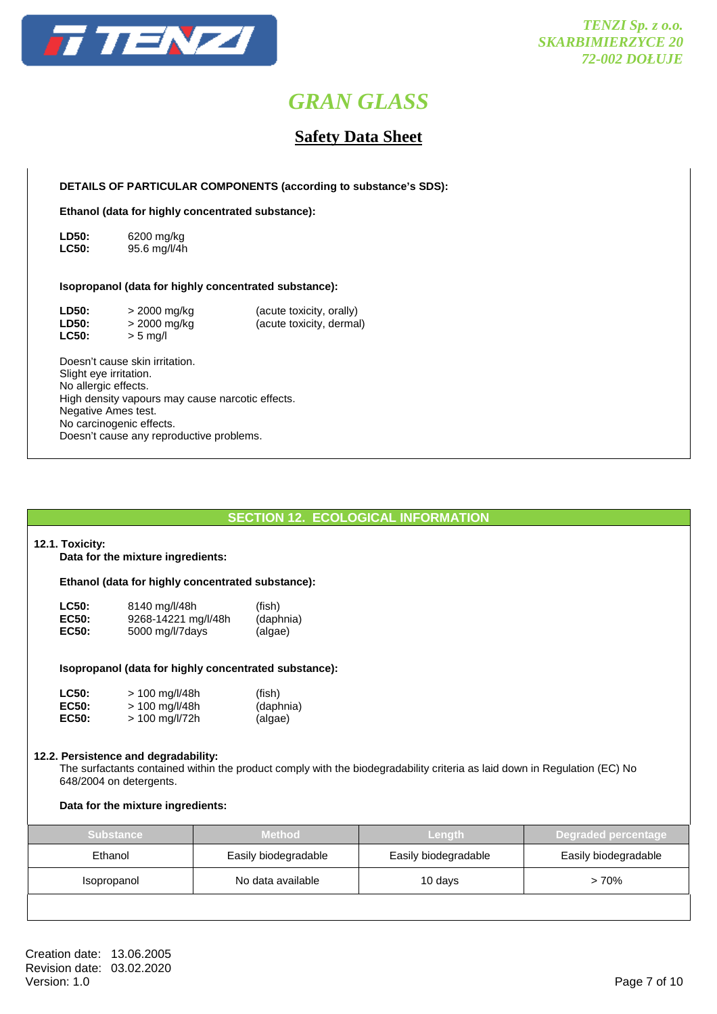

### **Safety Data Sheet**

 **DETAILS OF PARTICULAR COMPONENTS (according to substance's SDS):** 

 **Ethanol (data for highly concentrated substance):** 

**LD50:** 6200 mg/kg **LC50:** 95.6 mg/l/4h

#### **Isopropanol (data for highly concentrated substance):**

| <b>LD50:</b> | > 2000 mg/kg | (acute toxicity, orally) |
|--------------|--------------|--------------------------|
| <b>LD50:</b> | > 2000 mg/kg | (acute toxicity, dermal) |
| <b>LC50:</b> | $> 5$ mg/l   |                          |

 Doesn't cause skin irritation. Slight eye irritation. No allergic effects. High density vapours may cause narcotic effects. Negative Ames test. No carcinogenic effects. Doesn't cause any reproductive problems.

#### **SECTION 12. ECOLOGICAL INFORMATION**

#### **12.1. Toxicity:**

**Data for the mixture ingredients:** 

#### **Ethanol (data for highly concentrated substance):**

| <b>LC50:</b> | 8140 mg/l/48h       | (fish)    |
|--------------|---------------------|-----------|
| <b>EC50:</b> | 9268-14221 mg/l/48h | (daphnia) |
| <b>EC50:</b> | 5000 mg/l/7days     | (algae)   |

#### **Isopropanol (data for highly concentrated substance):**

| <b>LC50:</b> | $> 100$ mg/l/48h | (fish)    |
|--------------|------------------|-----------|
| <b>EC50:</b> | > 100 mg/l/48h   | (daphnia) |
| <b>EC50:</b> | $> 100$ mg/l/72h | (algae)   |

#### **12.2. Persistence and degradability:**

 The surfactants contained within the product comply with the biodegradability criteria as laid down in Regulation (EC) No 648/2004 on detergents.

#### **Data for the mixture ingredients:**

| <b>Substance</b> | Method               | <b>Length</b>        | Degraded percentage  |
|------------------|----------------------|----------------------|----------------------|
| Ethanol          | Easily biodegradable | Easily biodegradable | Easily biodegradable |
| Isopropanol      | No data available    | 10 days              | $>70\%$              |
|                  |                      |                      |                      |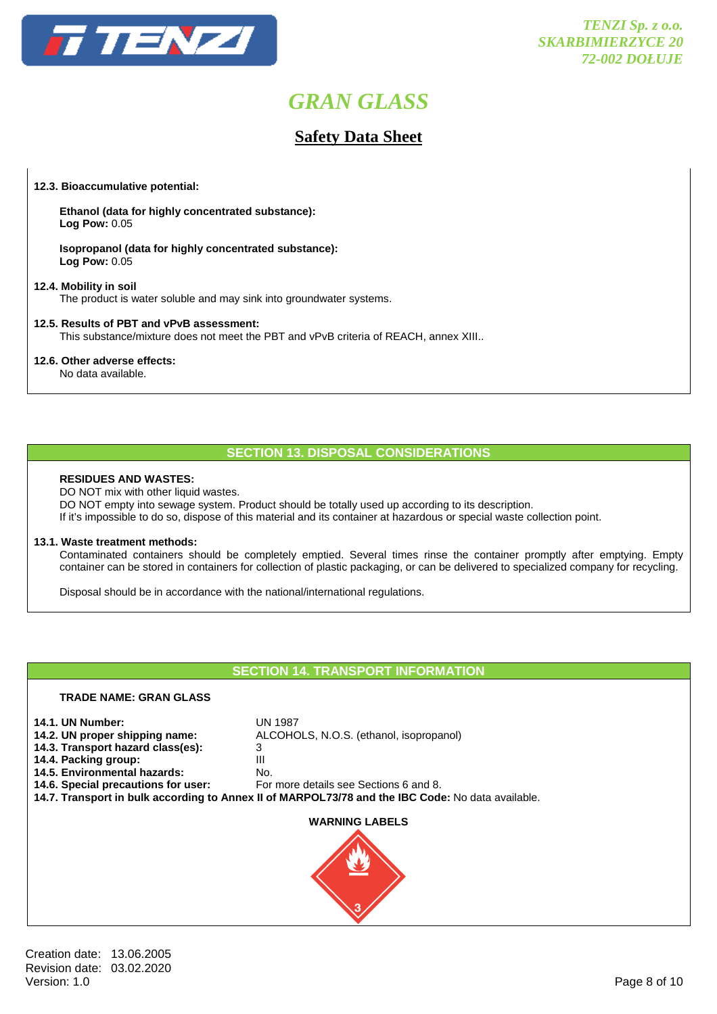

### **Safety Data Sheet**

#### **12.3. Bioaccumulative potential:**

 **Ethanol (data for highly concentrated substance): Log Pow:** 0.05

 **Isopropanol (data for highly concentrated substance): Log Pow:** 0.05

#### **12.4. Mobility in soil**

The product is water soluble and may sink into groundwater systems.

#### **12.5. Results of PBT and vPvB assessment:**

This substance/mixture does not meet the PBT and vPvB criteria of REACH, annex XIII..

#### **12.6. Other adverse effects:**

No data available.

#### **SECTION 13. DISPOSAL CONSIDERATIONS**

#### **RESIDUES AND WASTES:**

DO NOT mix with other liquid wastes. DO NOT empty into sewage system. Product should be totally used up according to its description. If it's impossible to do so, dispose of this material and its container at hazardous or special waste collection point.

#### **13.1. Waste treatment methods:**

 Contaminated containers should be completely emptied. Several times rinse the container promptly after emptying. Empty container can be stored in containers for collection of plastic packaging, or can be delivered to specialized company for recycling.

Disposal should be in accordance with the national/international regulations.

#### **SECTION 14. TRANSPORT INFORMATION**

# **TRADE NAME: GRAN GLASS 14.1. UN Number:** UN 1987<br>**14.2. UN proper shipping name:** ALCOHC **14.2. UN proper shipping name:** ALCOHOLS, N.O.S. (ethanol, isopropanol) **14.3. Transport hazard class(es):** 3 **14.4. Packing group:** III **14.5. Environmental hazards:** No. **14.6. Special precautions for user:** For more details see Sections 6 and 8. **14.7. Transport in bulk according to Annex II of MARPOL73/78 and the IBC Code:** No data available. **WARNING LABELS**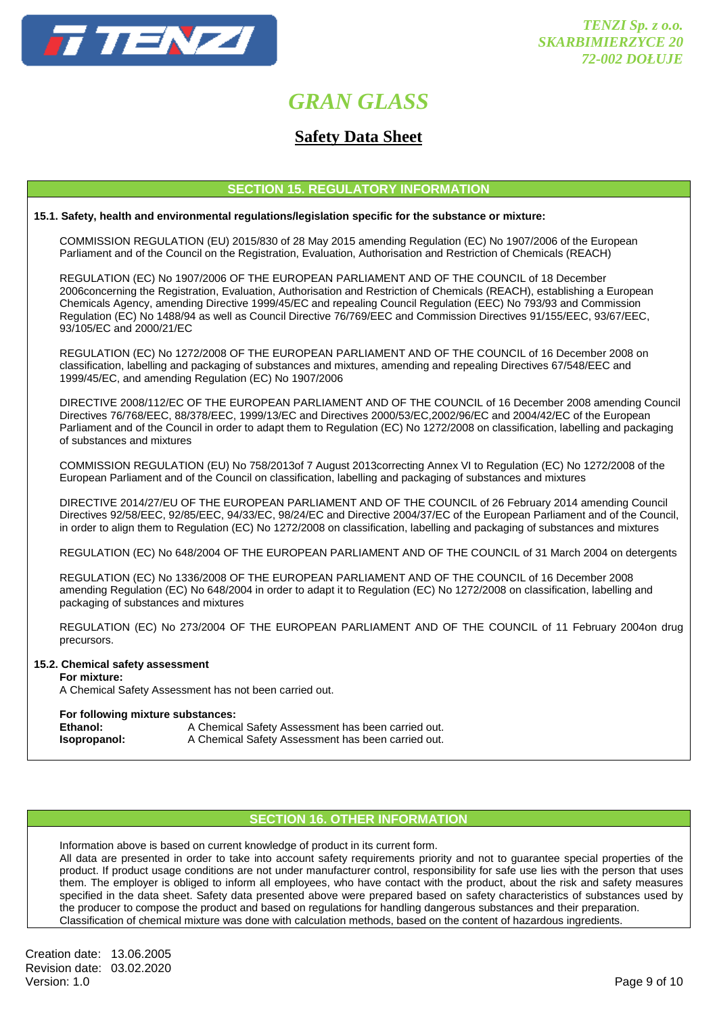

### **Safety Data Sheet**

#### **SECTION 15. REGULATORY INFORMATION**

#### **15.1. Safety, health and environmental regulations/legislation specific for the substance or mixture:**

COMMISSION REGULATION (EU) 2015/830 of 28 May 2015 amending Regulation (EC) No 1907/2006 of the European Parliament and of the Council on the Registration, Evaluation, Authorisation and Restriction of Chemicals (REACH)

 REGULATION (EC) No 1907/2006 OF THE EUROPEAN PARLIAMENT AND OF THE COUNCIL of 18 December 2006concerning the Registration, Evaluation, Authorisation and Restriction of Chemicals (REACH), establishing a European Chemicals Agency, amending Directive 1999/45/EC and repealing Council Regulation (EEC) No 793/93 and Commission Regulation (EC) No 1488/94 as well as Council Directive 76/769/EEC and Commission Directives 91/155/EEC, 93/67/EEC, 93/105/EC and 2000/21/EC

 REGULATION (EC) No 1272/2008 OF THE EUROPEAN PARLIAMENT AND OF THE COUNCIL of 16 December 2008 on classification, labelling and packaging of substances and mixtures, amending and repealing Directives 67/548/EEC and 1999/45/EC, and amending Regulation (EC) No 1907/2006

 DIRECTIVE 2008/112/EC OF THE EUROPEAN PARLIAMENT AND OF THE COUNCIL of 16 December 2008 amending Council Directives 76/768/EEC, 88/378/EEC, 1999/13/EC and Directives 2000/53/EC,2002/96/EC and 2004/42/EC of the European Parliament and of the Council in order to adapt them to Regulation (EC) No 1272/2008 on classification, labelling and packaging of substances and mixtures

 COMMISSION REGULATION (EU) No 758/2013of 7 August 2013correcting Annex VI to Regulation (EC) No 1272/2008 of the European Parliament and of the Council on classification, labelling and packaging of substances and mixtures

 DIRECTIVE 2014/27/EU OF THE EUROPEAN PARLIAMENT AND OF THE COUNCIL of 26 February 2014 amending Council Directives 92/58/EEC, 92/85/EEC, 94/33/EC, 98/24/EC and Directive 2004/37/EC of the European Parliament and of the Council, in order to align them to Regulation (EC) No 1272/2008 on classification, labelling and packaging of substances and mixtures

REGULATION (EC) No 648/2004 OF THE EUROPEAN PARLIAMENT AND OF THE COUNCIL of 31 March 2004 on detergents

 REGULATION (EC) No 1336/2008 OF THE EUROPEAN PARLIAMENT AND OF THE COUNCIL of 16 December 2008 amending Regulation (EC) No 648/2004 in order to adapt it to Regulation (EC) No 1272/2008 on classification, labelling and packaging of substances and mixtures

 REGULATION (EC) No 273/2004 OF THE EUROPEAN PARLIAMENT AND OF THE COUNCIL of 11 February 2004on drug precursors.

#### **15.2. Chemical safety assessment**

#### **For mixture:**

A Chemical Safety Assessment has not been carried out.

#### **For following mixture substances:**

| Ethanol:     | A Chemical Safety Assessment has been carried out. |
|--------------|----------------------------------------------------|
| Isopropanol: | A Chemical Safety Assessment has been carried out. |

#### **SECTION 16. OTHER INFORMATION**

 Information above is based on current knowledge of product in its current form. All data are presented in order to take into account safety requirements priority and not to guarantee special properties of the product. If product usage conditions are not under manufacturer control, responsibility for safe use lies with the person that uses them. The employer is obliged to inform all employees, who have contact with the product, about the risk and safety measures specified in the data sheet. Safety data presented above were prepared based on safety characteristics of substances used by the producer to compose the product and based on regulations for handling dangerous substances and their preparation. Classification of chemical mixture was done with calculation methods, based on the content of hazardous ingredients.

Creation date: 13.06.2005 Revision date: 03.02.2020 Version: 1.0 Page 9 of 10